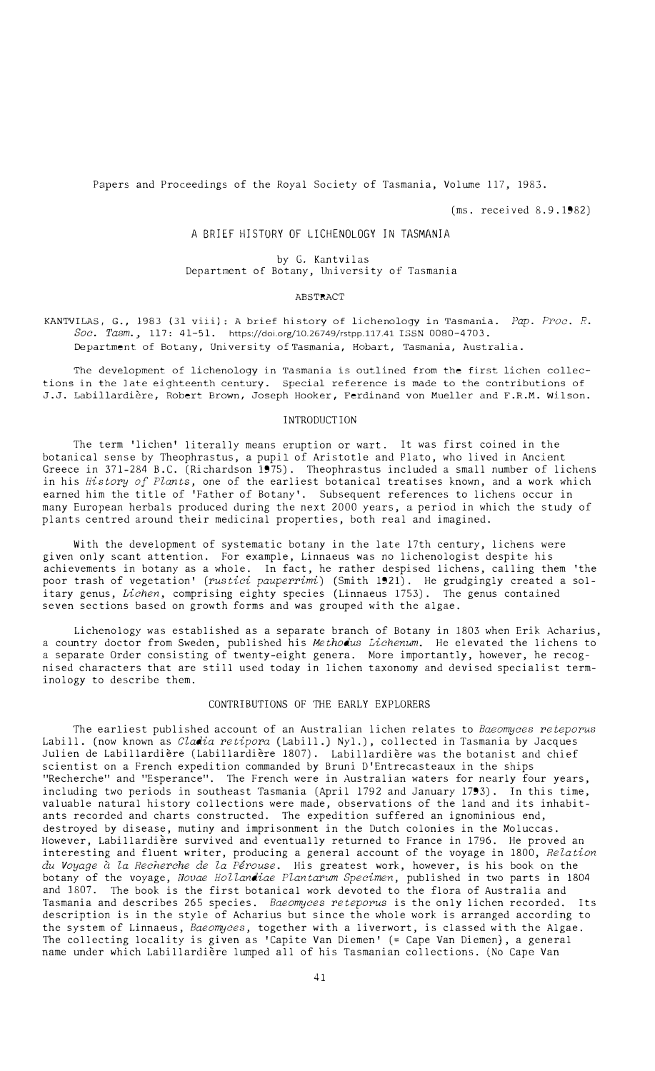Papers and Proceedings of the Royal Society of Tasmania, Volume 117, 1983.

(ms. received 8.9.1982)

## A BRIEF HISTORY OF LICHENOLOGY IN TASMANIA

by G. Kantvilas Department of Botany, University of Tasmania

#### ABSTRACT

KANTVILAS, G., 1983 (31 viii): A brief history of lichenology in Tasmania. *Pap. Proc. R. Soc. Tasm.,* 117: 41-51. https://doi.org/10.26749/rstpp.117.41 ISSN 0080-4 703. Department of Botany, University of **Tasmania, Hobart, Tasmania, Australia.** 

The development of lichenology in Tasmania is outlined from the first lichen collections in the late eighteenth century. Special reference is made to the contributions of J.J. Labillardiere, Robert Brown, Joseph Hooker, Ferdinand von Mueller and F.R.M. Wilson.

### INTRODUCTION

The term 'lichen' literally means eruption or wart. It was first coined in the botanical sense by Theophrastus, a pupil of Aristotle and Plato, who lived in Ancient Greece in 371-284 B.C. (Richardson 1975). Theophrastus included a small number of lichens in his *History of Plants,* one of the earliest botanical treatises known, and a work which earned him the title of 'Father of Botany'. Subsequent references to lichens occur in many European herbals produced during the next 2000 years, a period in which the study of plants centred around their medicinal properties, both real and imagined.

With the development of systematic botany in the late 17th century, lichens were given only scant attention. For example, Linnaeus was no lichenologist despite his achievements in botany as a whole. In fact, he rather despised lichens, calling them 'the poor trash of vegetation' *(rustici pauperrimi)* (Smith 1921). He grudgingly created a solitary genus, *Lichen,* comprising eighty species (Linnaeus 1753). The genus contained seven sections based on growth forms and was grouped with the algae.

Lichenology was established as a separate branch of Botany in 1803 when Erik Acharius, a country doctor from Sweden, published his *Methodus Lichenum.* He elevated the lichens to a separate Order consisting of twenty-eight genera. More importantly, however, he recognised characters that are still used today in lichen taxonomy and devised specialist terminology to describe them.

# CONTRIBUTIONS OF THE EARLY EXPLORERS

The earliest published account of an Australian lichen relates to *Baeomyces reteporus*  Labill. (now known as *Cladia retipora* (Labill.) Nyl.), collected in Tasmania by Jacques Julien de Labillardiere (Labillardiere 1807). Labillardiere was the botanist and chief scientist on a French expedition commanded by Bruni D'Entrecasteaux in the ships "Recherche" and "Esperance". The French were in Australian waters for nearly four years, including two periods in southeast Tasmania (April 1792 and January 1793). In this time, valuable natural history collections were made, observations of the land and its inhabitants recorded and charts constructed. The expedition suffered an ignominious end, destroyed by disease, mutiny and imprisonment in the Dutch colonies in the Moluccas. However, Labillardiere survived and eventually returned to France in 1796. He proved an interesting and fluent writer, producing a general account of the voyage in 1800, *Relation du Voyage* a *la Recherche de la Perouse.* His greatest work, however, is his book on the botany of the voyage, *Novae Hollandiae Plantarum Specimen,* published in two parts in 1804 and 1807. The book is the first botanical work devoted to the flora of Australia and Tasmania and describes 265 species. *Baeomyces reteporus* is the only lichen recorded. Its description is in the style of Acharius but since the whole work is arranged according to the system of Linnaeus, *Baeomyces,* together with a liverwort, is classed with the Algae. The collecting locality is given as 'Capite Van Diemen' (= Cape Van Diemen), a general name under which Labillardiere lumped all of his Tasmanian collections. (No Cape Van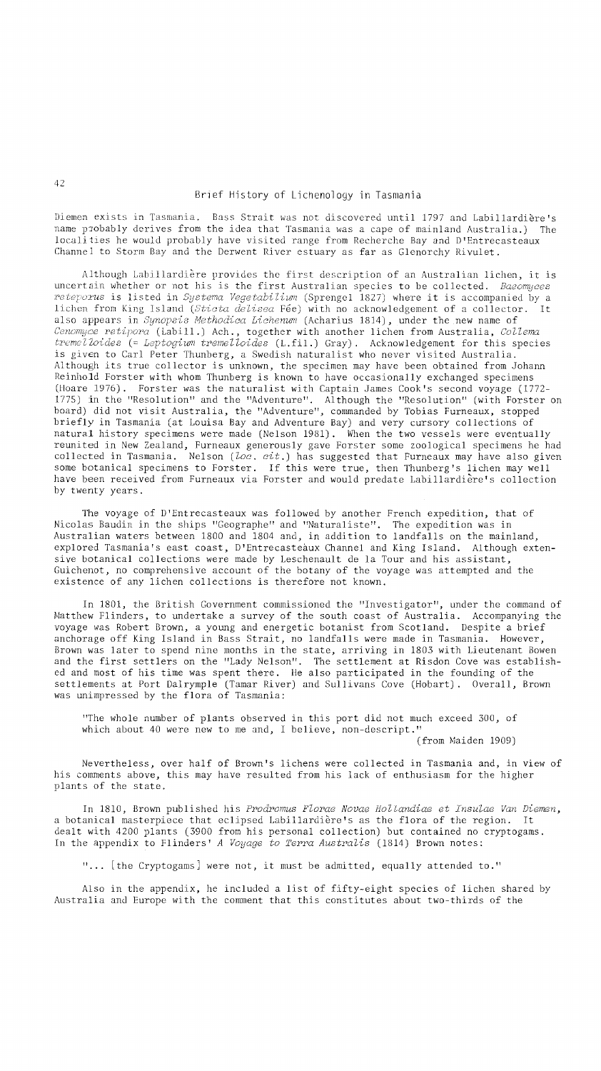Diemen exists in Tasmania. Bass Strait was not discovered until 1797 and Labillardiere's name probably derives from the idea that Tasmania was a cape of mainland Australia.) The localiiies he would probably have visited range from Recherche Bay and D'Entrecasteaux ChanneJ to Storm Bay and the Derwent River estuary as far as Glenorchy Rivulet.

AJthough Labil1ardiere provides the first description of an Australian lichen, it is uncertain whether or not his is the first Australian species to be collected. *Baeomyces*  reteporus is listed in *Systema Vegetabilium* (Sprengel 1827) where it is accompanied by a lichen from King Island *(Sticta delisea* Fee) with no acknowledgement of a collector. It also appears in *Synopsis Methodica Lichenum* (Acharius 1814), under the new name of *Cenomyae retipora* (Labill.) Ach., together with another lichen from Australia, *CoUema tremelZoides* (= *Leptogium tremelloides* (L.fi1.) Gray). Acknowledgement for this species is given to Carl Peter Thunberg, a Swedish naturalist who never visited Australia. Although its true collector is unknown, the specimen may have been obtained from Johann Reinhold Forster with whom Thunberg is known to have occasionally exchanged specimens (Hoare 1976). Forster was the naturalist with Captain James Cook's second voyage (1772- 1775) in the "Resolution" and the "Adventure". Although the "Resolution" (with Forster on board) did not visit Australia, the "Adventure", commanded by Tobias Furneaux, stopped briefly in Tasmania (at Louisa Bay and Adventure Bay) and very cursory collections of natural history specimens were made (Nelson 1981). When the two vessels were eventually reunited in New Zealand, Furneaux generously gave Forster some zoological specimens he had collected in Tasmania. Nelson *(loc. cit.)* has suggested that Furneaux may have also given some botanical specimens to Forster. If this were true, then Thunberg's lichen may well have been received from Furneaux via Forster and would predate Labi11ardiere's collection by twenty years.

The voyage of D'Entrecasteaux was followed by another French expedition, that of Nicolas Baudin in the ships "Geographe" and "Natura1iste". The expedition was in Australian waters between 1800 and 1804 and, in addition to landfalls on the mainland, explored Tasmania's east coast, D'Entrecasteaux Channel and King Island. Although extensive botanical collections were made by Leschenault de la Tour and his assistant, Guichenot, no comprehensive account of the botany of the voyage was attempted and the existence of any lichen collections is therefore not known.

In 1801, the British Government commissioned the "Investigator", under the command of Matthew Flinders, to undertake a survey of the south coast of Australia. Accompanying the voyage was Robert Brown, a young and energetic botanist from Scotland. Despite a brief anchorage off King Island in Bass Strait, no landfalls were made in Tasmania. However, Brown was later to spend nine months in the state, arriving in 1803 with Lieutenant Bowen and the first settlers on the "Lady Nelson". The settlement at Risdon Cove was established and most of his time was spent there. He also participated in the founding of the settlements at Port Dalrymple (Tamar River) and Sullivans Cove (Hobart). Overall, Brown was unimpressed by the flora of Tasmania:

"The whole number of plants observed in this port did not much exceed 300, of which about 40 were new to me and, I believe, non-descript."

(from Maiden 1909)

Nevertheless, over half of Brown's lichens were collected in Tasmania and, in view of his comments above, this may have resulted from his lack of enthusiasm for the higher plants of the state.

In 1810, Brown published his *Prodromus Florae Novae Hollandiae et Insulae Van Diemen,*  a botanical masterpiece that eclipsed Labillardiere's as the flora of the region. It dealt with 4200 plants (3900 from his personal collection) but contained no cryptogams. In the appendix to Flinders' *A Voyage to Terra Australis* (1814) Brown notes:

"... [the Cryptogams] were not, it must be admitted, equally attended to."

Also in the appendix, he included a list of fifty-eight species of lichen shared by Australia and Europe with the comment that this constitutes about two-thirds of the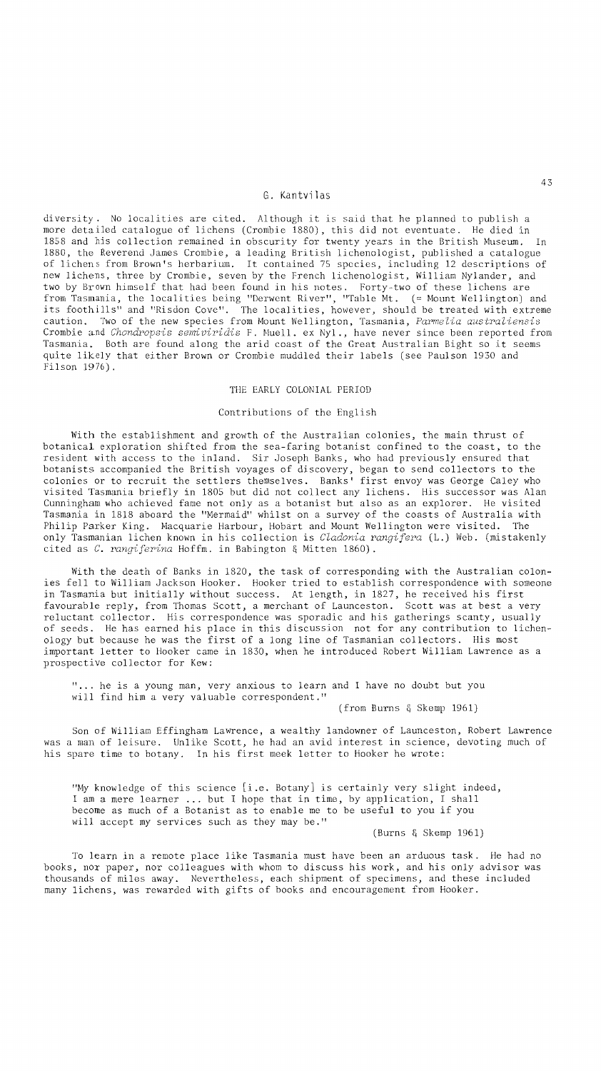### G. Kantvilas

diversity. No localities are cited. Although it is said that he planned to publish a more detailed catalogue of lichens (Crombie 1880), this did not eventuate. He died in 1858 and bis collection remained in obscurity for twenty years in the British Museum. In 1880, the Reverend James Crombie, a leading British lichenologist, published a catalogue of lichens from Brown's herbarium. It contained 75 species, including 12 descriptions of new lichens, three by Crombie, seven by the French lichenologist, William Nylander, and two by Brown himself that had been found in his notes. Forty-two of these lichens are from Tasmania, the localities being "Derwent River", "Table Mt. (= Mount Wellington) and its foothills" and "Risdon Cove". The localities, however, should be treated with extreme caution. Two of the new species from Mount Wellington, Tasmania, *Parmelia australiensis*  Crombie and *Chondropsis semiviridis* F. Muell. ex Nyl., have never since been reported from Tasmania. Both are found along the arid coast of the Great Australian Bight so it seems quite likely that either Brown or Crombie muddled their labels (see Paulson 1930 and Filson 1976).

#### THE EARLY COLONIAL PERIOD

#### Contributions of the English

With the establishment and growth of the Australian colonies, the main thrust of botanical exploration shifted from the sea-faring botanist confined to the coast, to the resident with access to the inland. Sir Joseph Banks, who had previously ensured that botanists accompanied the British voyages of discovery, began to send collectors to the colonies or to recruit the settlers themselves. Banks' first envoy was George Caley who visited Tasmania briefly in 1805 but did not collect any lichens. His successor was Alan Cunningham who achieved fame not only as a botanist but also as an explorer. He visited Tasmania in 1818 aboard the "Mermaid" whilst on a survey of the coasts of Australia with Philip Parker King. Macquarie Harbour, Hobart and Mount Wellington were visited. The only Tasmanian lichen known in his collection is *Cladonia rangifera* (L.) Web. (mistakenly cited as *C. rangiferina* Hoffm. in Babington & Mitten 1860).

With the death of Banks in 1820, the task of corresponding with the Australian colonies fell to William Jackson Hooker. Hooker tried to establish correspondence with someone in Tasmania but initially without success. At length, in 1827, he received his first favourable reply, from Thomas Scott, a merchant of Launceston. Scott was at best a very reluctant collector. His correspondence was sporadic and his gatherings scanty, usually of seeds. He has earned his place in this discussion not for any contribution to lichenology but because he was the first of a long line of Tasmanian collectors. His most important letter to Hooker came in 1830, when he introduced Robert William Lawrence as a prospective collector for Kew:

"... he is a young man, very anxious to learn and I have no doubt but you will find him a very valuable correspondent."

## (from Burns & Skemp 1961)

Son of William Effingham Lawrence, a wealthy landowner of Launceston, Robert Lawrence was a man of leisure. Unlike Scott, he had an avid interest in science, devoting much of his spare time to botany. In his first meek letter to Hooker he wrote:

"My knowledge of this science [i.e. Botany] is certainly very slight indeed, I am a mere learner **...** but I hope that in time, by application, I shall become as much of a Botanist as to enable me to be useful to you if you will accept my services such as they may be."

(Burns & Skemp 1961)

To learn in a remote place like Tasmania must have been an arduous task. He had no books, nor paper, nor colleagues with whom to discuss his work, and his only advisor was thousands of miles away. Nevertheless, each shipment of specimens, and these included many lichens, was rewarded with gifts of books and encouragement from Hooker.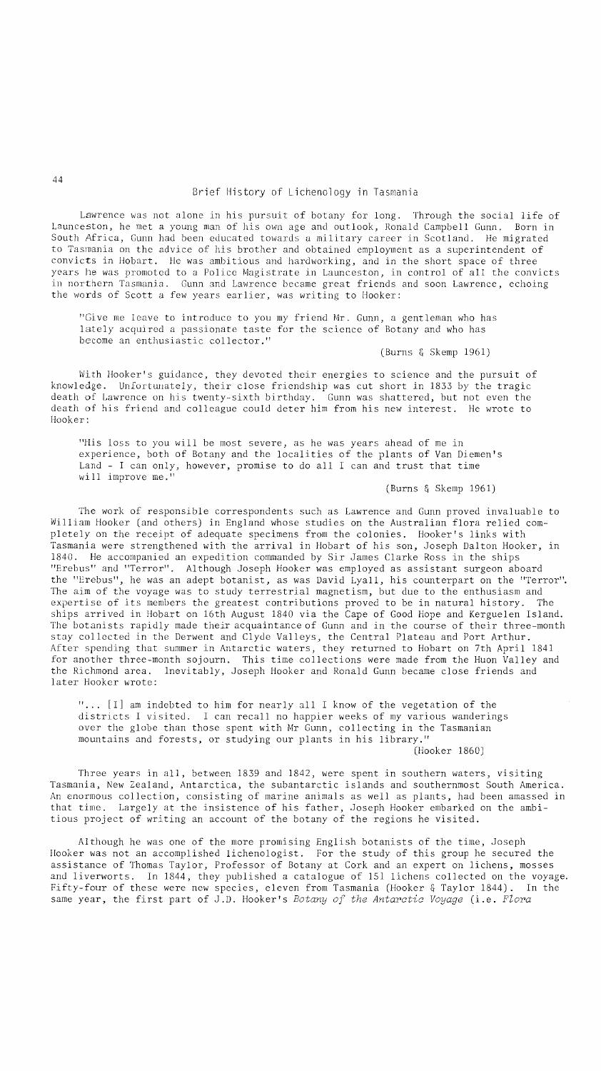Lawrence was not alone in his pursuit of botany for long. Through the social life of Launceston, he met a young man of his own age and outlook, Ronald Campbell Gunn. Born in South Africa, Gunn had been educated towards a military career in Scotland. He migrated to Tasmania on the advice of his brother and obtained employment as a superintendent of convicts in Hobart. He was ambitious and hardworking, and in the short space of three years he was promoted to a Police Magistrate in Launceston, in control of all the convicts in northern Tasmania. Gunn and Lawrence became great friends and soon Lawrence, echoing the words of Scott a few years earlier, was writing to Hooker:

"Give me leave to introduce to you my friend Mr. Gunn, a gentleman who has lately acquired a passionate taste for the science of Botany and who has become an enthusiastic collector."

(Burns & Skemp 1961)

With Hooker's guidance, they devoted their energies to science and the pursuit of knowledge. Unfortunately, their close friendship was cut short in 1833 by the tragic death of Lawrence on his twenty-sixth birthday. Gunn was shattered, but not even the death of his friend and colleague could deter him from his new interest. He wrote to Hooker:

"His loss to you will be most severe, as he was years ahead of me in experience, both of Botany and the localities of the plants of Van Diemen's Land - I can only, however, promise to do all I can and trust that time wi 11 improve me."

(Burns & Skemp 1961)

The work of responsible correspondents such as Lawrence and Gunn proved invaluable to William Hooker (and others) in England whose studies on the Australian flora relied completely on the receipt of adequate specimens from the colonies. Hooker's links with Tasmania were strengthened with the arrival in Hobart of his son, Joseph Dalton Hooker, in 1840. He accompanied an expedition commanded by Sir James Clarke Ross in the ships "Erebus" and "Terror". Although Joseph Hooker was employed as assistant surgeon aboard the "Erebus", he was an adept botanist, as was David Lyall, his counterpart on the "Terror". The aim of the voyage was to study terrestrial magnetism, but due to the enthusiasm and expertise of its members the greatest contributions proved to be in natural history. The ships arrived in Hobart on 16th August 1840 via the Cape of Good Hope and Kerguelen Island. The botanists rapidly made their acquaintance of Gunn and in the course of their three-month stay collected in the Derwent and Clyde Valleys, the Central Plateau and Port Arthur. After spending that summer in Antarctic waters, they returned to Hobart on 7th April 1841 for another three-month sojourn. This time collections were made from the Huon Valley and the Richmond area. Inevitably, Joseph Hooker and Ronald Gunn became close friends and later Hooker wrote:

"... [I] am indebted to him for nearly all I know of the vegetation of the districts I visited. I can recall no happier weeks of my various wanderings over the globe than those spent with Mr Gunn, collecting in the Tasmanian mountains and forests, or studying our plants in his library."

(Hooker 1860)

Three years in all, between 1839 and 1842, were spent in southern waters, visiting Tasmania, New Zealand, Antarctica, the subantarctic islands and southernmost South America. An enormous collection, consisting of marine animals as well as plants, had been amassed in that time. Largely at the insistence of his father, Joseph Hooker embarked on the ambitious project of writing an account of the botany of the regions he visited.

Although he was one of the more promising English botanists of the time, Joseph Hooker was not an accomplished lichenologist. For the study of this group he secured the assistance of Thomas Taylor, Professor of Botany at Cork and an expert on lichens, mosses and liverworts. In 1844, they published a catalogue of 151 lichens collected on the voyage. Fifty-four of these were new species, eleven from Tasmania (Hooker & Taylor 1844). In the same year, the first part of J.D. Hooker's *Botany of the Antarctic Voyage* (i.e. *Flora* 

44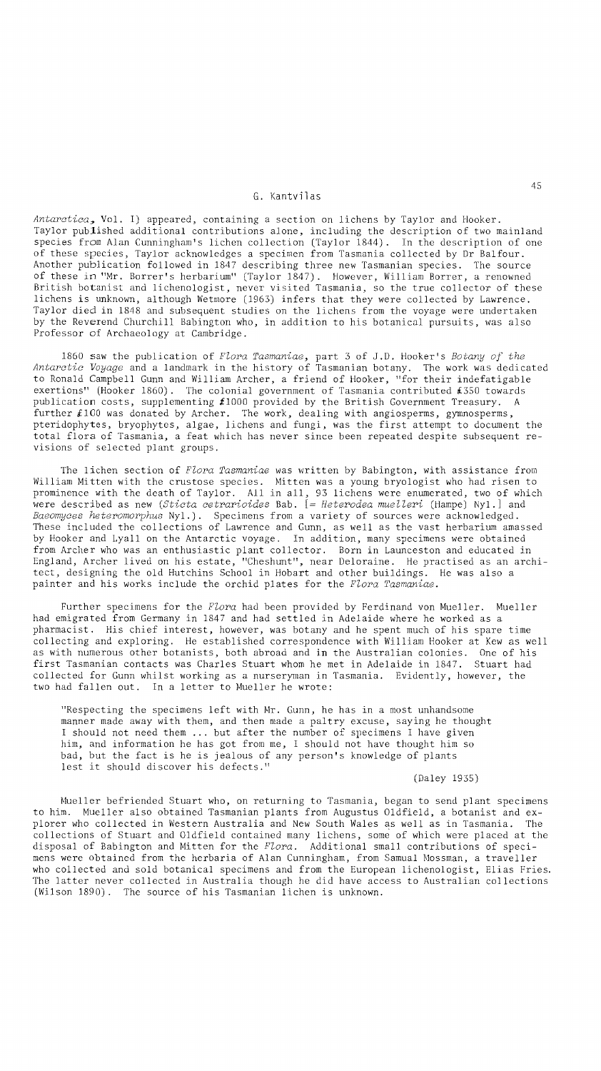# G. Kantvilas

*Antarctica,* Vol. I) appeared, containing a section on lichens by Taylor and Hooker. Taylor published additional contributions alone, including the description of two mainland species from Alan Cunningham's lichen collection (Taylor 1844). In the description of one of these species, Taylor acknowledges a specimen from Tasmania collected by Dr Balfour. Another publication followed in 1847 describing three new Tasmanian species. The source of these in "Mr. Borrer's herbarium" (Taylor 1847). However, William Borrer, a renowned British botanist and lichenologist, never visited Tasmania, so the true collector of these lichens is unknown, although Wetmore (1963) infers that they were collected by Lawrence. Taylor died in 1848 and subsequent studies on the lichens from the voyage were undertaken by the Reverend Churchill Babington who, in addition to his botanical pursuits, was also Professor of Archaeology at Cambridge.

1860 saw the publication of *Flora Tasmaniae,* part 3 of J.D. Hooker's *Botany* of *the Antarctic Voyage* and a landmark in the history of Tasmanian botany. The work was dedicated to Ronald Campbell Gunn and William Archer, a friend of Hooker, "for their indefatigable exertions" (Hooker 1860). The colonial government of Tasmania contributed £350 towards publication costs, supplementing *t1000* provided by the British Government Treasury. A further £100 was donated by Archer. The work, dealing with angiosperms, gymnosperms, pteridophytes, bryophytes, algae, lichens and fungi, was the first attempt to document the total flora of Tasmania, a feat which has never since been repeated despite subsequent revisions of selected plant groups.

The lichen section of *Flora Tasmaniae* was written by Babington, with assistance from William Mitten with the crustose species. Mitten was a young bryologist who had risen to prominence with the death of Taylor. All in all, 93 lichens were enumerated, two of which were described as new *(Sticta cetrarioides* Bab. [= *Heterodea muelleri* (Hampe) Nyl.] and *Baeomyces heteromorphus* Nyl.). Specimens from a variety of sources were acknowledged. These included the collections of Lawrence and Gunn, as well as the vast herbarium amassed by Hooker and Lyall on the Antarctic voyage. in addition, many specimens were obtained from Archer who was an enthusiastic plant collector. Born in Launceston and educated in England, Archer lived on his estate, "Cheshunt", near Deloraine. He practised as an archi-<br>tect, designing the old Hutchins School in Hobart and other buildings. He was also a painter and his works include the orchid plates for the *Flora Tasmaniae*.

Further specimens for the *Flora* had been provided by Ferdinand von Mueller. Mueller had emigrated from Germany in 1847 and had settled in Adelaide where he worked as a pharmacist. His chief interest, however, was botany and he spent much of his spare time collecting and exploring. He established correspondence with William Hooker at Kew as well as with numerous other botanists, both abroad and in the Australian colonies. One of his first Tasmanian contacts was Charles Stuart whom he met in Adelaide in 1847. Stuart had collected for Gunn whilst working as a nurseryman in Tasmania. Evidently, however, the two had fallen out. In a letter to Mueller he wrote:

"Respecting the specimens left with Mr. Gunn, he has in a most unhandsome manner made away with them, and then made a paltry excuse, saying he thought I should not need them **...** but after the number of specimens I have given him, and information he has got from me, I should not have thought him so bad, but the fact is he is jealous of any person's knowledge of plants lest it should discover his defects."

(Daley 1935)

Mueller befriended Stuart who, on returning to Tasmania, began to send plant specimens to him. Mueller also obtained Tasmanian plants from Augustus Oldfield, a botanist and explorer who collected in Western Australia and New South Wales as well as in Tasmania. The collections of Stuart and Oldfield contained many lichens, some of which were placed at the disposal of Babington and Mitten for the *Flora.* Additional small contributions of specimens were obtained from the herbaria of Alan Cunningham, from Samual Mossman, a traveller who collected and sold botanical specimens and from the European lichenologist, Elias Fries. The latter never collected in Australia though he did have access to Australian collections (Wilson 1890). The source of his Tasmanian lichen is unknown.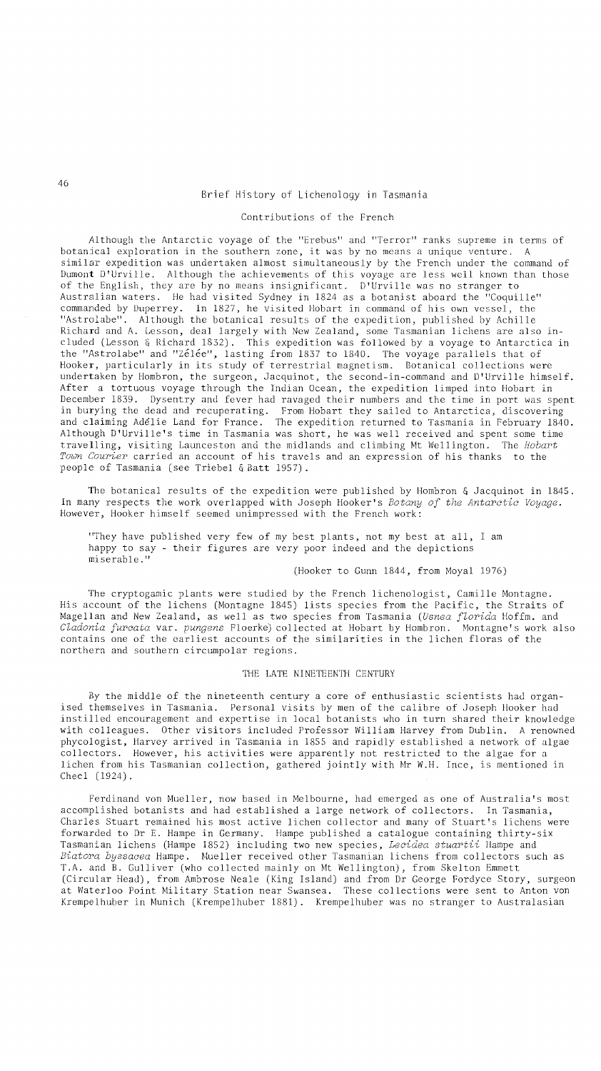# Brief History of Lichenology in Tasmania

## Contributions of the French

Although the Antarctic voyage of the "Erebus" and "Terror" ranks supreme in terms of botanical exploration in the southern zone, it was by no means a unique venture. A similar expedition was undertaken almost simultaneously by the French under the command of Dumont D'Urville. Although the achievements of this voyage are less well known than those of the English, they are by no means insignificant. D'Urville was no stranger to Australian waters. He had visited Sydney in 1824 as a botanist aboard the "Coquille" commanded by Duperrey. In 1827, he visited Hobart in command of his own vessel, the "Astrolabe". Although the botanical results of the expedition, published by Achille Richard and A. Lesson, deal largely with New Zealand, some Tasmanian lichens are also included (Lesson & Richard 1832). This expedition was followed by a voyage to Antarctica in the "Astrolabe" and "Zélée", lasting from 1837 to 1840. The voyage parallels that of Hooker, particularly in its study of terrestrial magnetism. Botanical collections were undertaken by Hombron, the surgeon, Jacquinot, the second-in-command and D'Urville himself. After a tortuous voyage through the Indian Ocean, the expedition limped into Hobart in December 1839. Dysentry and fever had ravaged their numbers and the time in port was spent in burying the dead and recuperating. From Hobart they sailed to Antarctica, discovering and claiming Adelie Land for France. The expedition returned to Tasmania in February 1840. Although D'Urville's time in Tasmania was short, he was well received and spent some time travelling, visiting Launceston and the midlands and climbing Mt Wellington. The *Hobart Town Courier* carried an account of his travels and an expression of his thanks to the people of Tasmania (see Triebel & Batt 1957).

The botanical results of the expedition were published by Hombron & Jacquinot in 1845. In many respects the work overlapped with Joseph Hooker's *Botany of the Antarctic Voyage.*  However, Hooker himself seemed unimpressed with the French work:

"They have published very few of my best plants, not my best at all, I am happy to say - their figures are very poor indeed and the depictions miserable."

# (Hooker to Gunn 1844, from Moyal 1976)

The cryptogamic plants were studied by the French lichenologist, Camille Montagne. His account of the lichens (Montagne 1845) lists species from the Pacific, the Straits of Magellan and New Zealand, as well as two species from Tasmania *(Usnea florida* Hoffm. and *Cladonia furcata* var. *pungens* Floerke) collected at Hobart by Hombron. Montagne's work also contains one of the earliest accounts of the similarities in the lichen floras of the northern and southern circumpolar regions.

### THE LATE NINETEENTH CENTURY

By the middle of the nineteenth century a core of enthusiastic scientists had organised themselves in Tasmania. Personal visits by men of the calibre of Joseph Hooker had instilled encouragement and expertise in local botanists who in turn shared their knowledge with colleagues. Other visitors included Professor William Harvey from Dublin. A renowned phycologist, Harvey arrived in Tasmania in 1855 and rapidly established a network of algae collectors. However, his activities were apparently not restricted to the algae for a lichen from his Tasmanian collection, gathered jointly with Mr W.H. Ince, is mentioned in Cheel (1924).

Ferdinand von Mueller, now based in Melbourne, had emerged as one of Australia's most accomplished botanists and had established a large network of collectors. In Tasmania, Charles Stuart remained his most active lichen collector and many of Stuart's lichens were forwarded to Dr E. Hampe in Germany. Hampe published a catalogue containing thirty-six Tasmanian lichens (Hampe 1852) including two new species, *Lecidea stuartii* Hampe and *Biatora byssacea* Hampe. Mueller received other Tasmanian lichens from collectors such as T.A. and B. Gulliver (who collected mainly on Mt Wellington), from Skelton Emmett (Circular Head), from Ambrose Neale (King Island) and from Dr George Fordyce Story, surgeon at Waterloo Point Military Station near Swansea. These collections were sent to Anton von Krempelhuber in Munich (Krempelhuber 1881). Krempelhuber was no stranger to Australasian

46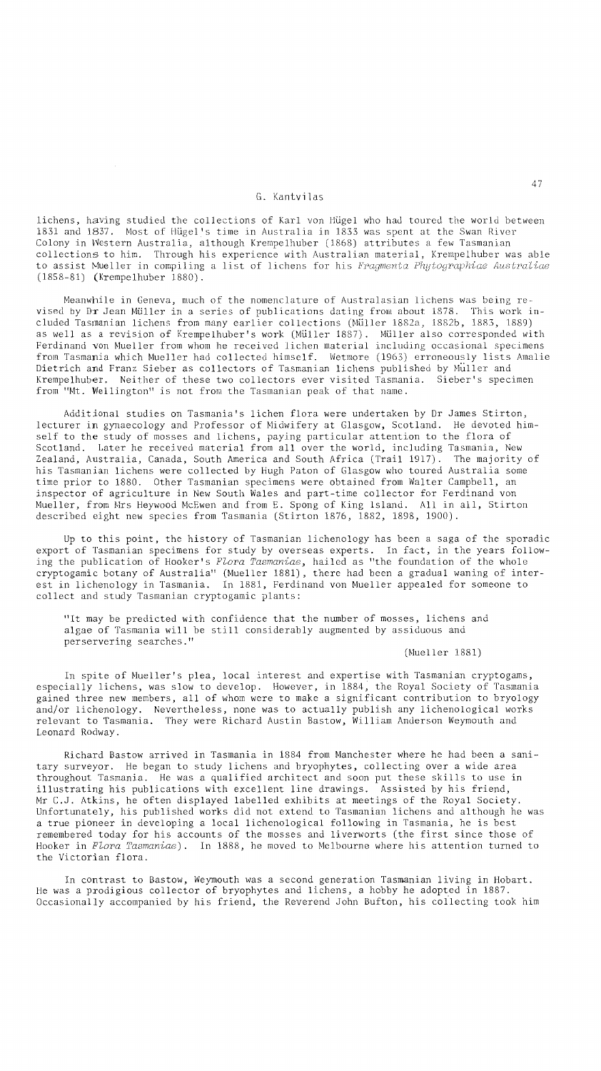# G. Kantvil as

lichens, having studied the collections of Karl von Hugel who had toured the world between 1831 and 1837. Most of Hugel's time in Australia in 1833 was spent at the Swan River Colony in Western Australia, although Krempe1huber (1868) attributes a few Tasmanian collections to him. Through his experience with Australian material, Krempelhuber was able to assist Mueller in compiling a list of lichens for his *Fragmenta Phytographiae Australiae*  (1858-81) (Krempelhuber 1880).

Meanwhile in Geneva, much of the nomenclature of Australasian lichens was being revised by Dr Jean Muller in a series of publications dating from about 1878. This work included Tasmanian lichens from many earlier collections (Muller 1882a, 1882b, 1883, 1889) as well as a revision of Krempelhuber's work (Müller 1887). Müller also corresponded with Ferdinand von Mueller from whom he received lichen material including occasional specimens from Tasmania which Mueller had collected himself. Wetmore (1963) erroneously lists Amalie Dietrich and Franz Sieber as collectors of Tasmanian lichens published by Muller and Krempelhuber. Neither of these two collectors ever visited Tasmania. Sieber's specimen from "Mt. Wellington" is not from the Tasmanian peak of that name.

Additional studies on Tasmania's lichen flora were undertaken by Dr James Stirton, lecturer in gynaecology and Professor of Midwifery at Glasgow, Scotland. He devoted himself to the study of mosses and lichens, paying particular attention to the flora of Scotland. Later he received material from all over the world, including Tasmania, New Zealand, Australia, Canada, South America and South Africa (Trail 1917). The majority of his Tasmanian lichens were collected by Hugh Paton of Glasgow who toured Australia some time prior to 1880. Other Tasmanian specimens were obtained from Walter Campbell, an inspector of agriculture in New South Wales and part-time collector for Ferdinand von Mueller, from Mrs Heywood McEwen and from E. Spong of King Island. All in all, Stirton described eight new species from Tasmania (Stirton 1876, 1882, 1898, 1900).

Up to this point, the history of Tasmanian lichenology has been a saga of the sporadic export of Tasmanian specimens for study by overseas experts. In fact, in the years following the publication of Hooker's *Flora Tasmaniae,* hailed as "the foundation of the whole cryptogamic botany of Australia" (Mueller 1881), there had been a gradual waning of interest in lichenology in Tasmania. In 1881, Ferdinand von Mueller appealed for someone to collect and study Tasmanian cryptogamic plants:

"It may be predicted with confidence that the number of mosses, lichens and algae of Tasmania will be still considerably augmented by assiduous and perservering searches."

(Mueller 1881)

In spite of Mueller's plea, local interest and expertise with Tasmanian cryptogams, especially lichens, was slow to develop. However, in 1884, the Royal Society of Tasmania gained three new members, all of whom were to make a significant contribution to bryology and/or lichenology. Nevertheless, none was to actually publish any lichenological works relevant to Tasmania. They were Richard Austin Bastow, William Anderson Weymouth and Leonard Rodway.

Richard Bastow arrived in Tasmania in 1884 from Manchester where he had been a sanitary surveyor. He began to study lichens and bryophytes, collecting over a wide area throughout Tasmania. He was a qualified architect and soon put these skills to use in illustrating his publications with excellent line drawings. Assisted by his friend, Mr C.J. Atkins, he often displayed labelled exhibits at meetings of the Royal Society. Unfortunately, his published works did not extend to Tasmanian lichens and although he was a true pioneer in developing a local lichenological following in Tasmania, he is best remembered today for his accounts of the mosses and liverworts (the first since those of Hooker in *Flora Tasmaniae).* In 1888, he moved to Melbourne where his attention turned to the Victorian flora.

In contrast to Bastow, Weymouth was a second generation Tasmanian living in Hobart. He was a prodigious collector of bryophytes and lichens, a hobby he adopted in 1887. Occasionally accompanied by his friend, the Reverend John Bufton, his coilecting took him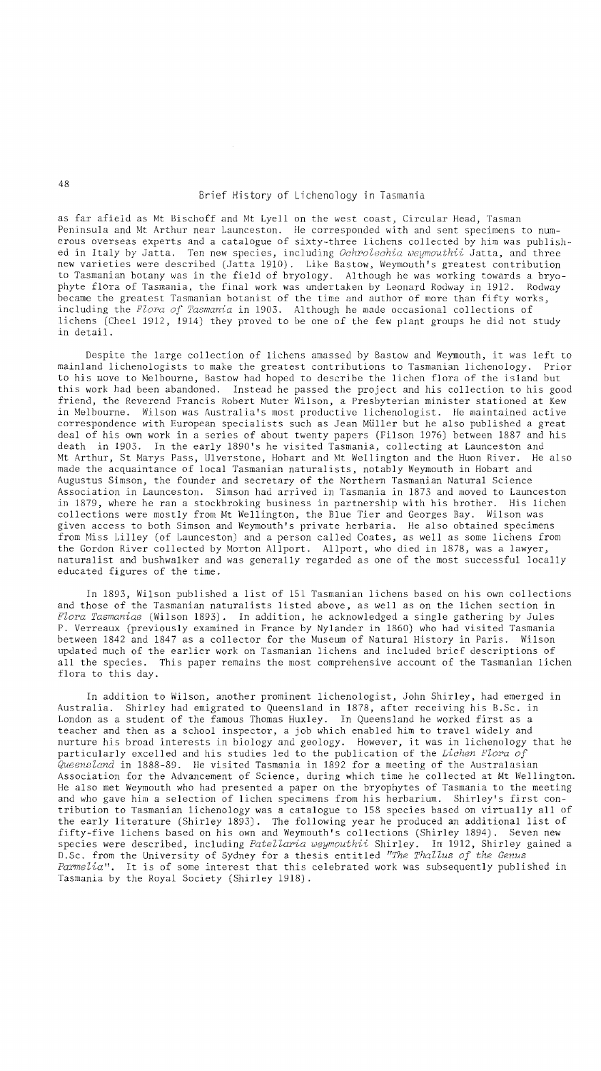as far afield as Mt Bischoff and Mt Lyell on the west coast, Circular Head, Tasman Peninsula and Mt Arthur near Launceston. He corresponded with and sent specimens to numerous overseas experts and a catalogue of sixty-three lichens collected by him was published in Italy by Jatta. Ten new species, including *Ochrolechia weymouthii* Jatta, and three new varieties were described (Jatta 1910). Like Bastow, Weymouth's greatest contribution to Tasmanian botany was in the field of bryology. Although he was working towards a bryophyte flora of Tasmania, the final work was undertaken by Leonard Rodway in 1912. Rodway became the greatest Tasmanian botanist of the time and author of more than fifty works, including the *Flora of Tasmania* in 1903. Although he made occasional collections of lichens (Cheel 1912, 1914) they proved to be one of the few plant groups he did not study in detail.

Despite the large collection of lichens amassed by Bastow and Weymouth, it was left to mainland lichenologists to make the greatest contributions to Tasmanian lichenology. Prior to his move to Melbourne, Bastow had hoped to describe the lichen flora of the island but this work had been abandoned. Instead he passed the project and his collection to his good friend, the Reverend Francis Robert Muter Wilson, a Presbyterian minister stationed at Kew in Melbourne. Wilson was Australia's most productive lichenologist. He maintained active correspondence with European specialists such as Jean Muller but he also published a great deal of his own work in a series of about twenty papers (Filson 1976) between 1887 and his death in 1903. In the early 1890's he visited Tasmania, collecting at Launceston and Mt Arthur, St Marys Pass, Ulverstone, Hobart and Mt Wellington and the Huon River. He also made the acquaintance of local Tasmanian naturalists, notably Weymouth in Hobart and Augustus Simson, the founder and secretary of the Northern Tasmanian Natural Science Association in Launceston. Simson had arrived in Tasmania in 1873 and moved to Launceston in 1879, where he ran a stockbroking business in partnership with his brother. His lichen collections were mostly from Mt Wellington, the Blue Tier and Georges Bay. Wilson was given access to both Simson and Weymouth's private herbaria. He also obtained specimens from Miss Lilley (of Launceston) and a person called Coates, as well as some lichens from the Gordon River collected by Morton Allport. Allport, who died in 1878, was a lawyer, naturalist and bushwalker and was generally regarded as one of the most successful locally educated figures of the time.

In 1893, Wilson published a list of 151 Tasmanian lichens based on his own collections and those of the Tasmanian naturalists listed above, as well as on the lichen section in *Flora Tasmaniae* (Wilson 1893). In addition, he acknowledged a single gathering by Jules P. Verreaux (previously examined in France by Nylander in 1860) who had visited Tasmania between 1842 and 1847 as a collector for the Museum of Natural History in Paris. Wilson updated much of the earlier work on Tasmanian lichens and included brief descriptions of all the species. This paper remains the most comprehensive account of the Tasmanian lichen flora to this day.

In addition to Wilson, another prominent lichenologist, John Shirley, had emerged in Australia. Shirley had emigrated to Queensland in 1878, after receiving his B.Sc. in London as a student of the famous Thomas Huxley. In Queensland he worked first as a teacher and then as a school inspector, a job which enabled him to travel widely and nurture his broad interests in biology and geology. However, it was in lichenology that he particularly excelled and his studies led to the publication of the *Lichen Flora of Queensland* in 1888-89. He visited Tasmania in 1892 for a meeting of the Australasian Association for the Advancement of Science, during which time he collected at Mt Wellington. He also met Weymouth who had presented a paper on the bryophytes of Tasmania to the meeting and who gave him a selection of lichen specimens from his herbarium. Shirley's first contribution to Tasmanian lichenology was a catalogue to 158 species based on virtually all of the early literature (Shirley 1893). The following year he produced an additional list of fifty-five lichens based on his own and Weymouth's collections (Shirley 1894). Seven new species were described, including *Patellaria weymouthii* Shirley. In 1912, Shirley gained a D.Sc. from the University of Sydney for a thesis entitled *"The Thallus of the Genus Parmelia".* It is of some interest that this celebrated work was subsequently published in Tasmania by the Royal Society (Shirley 1918).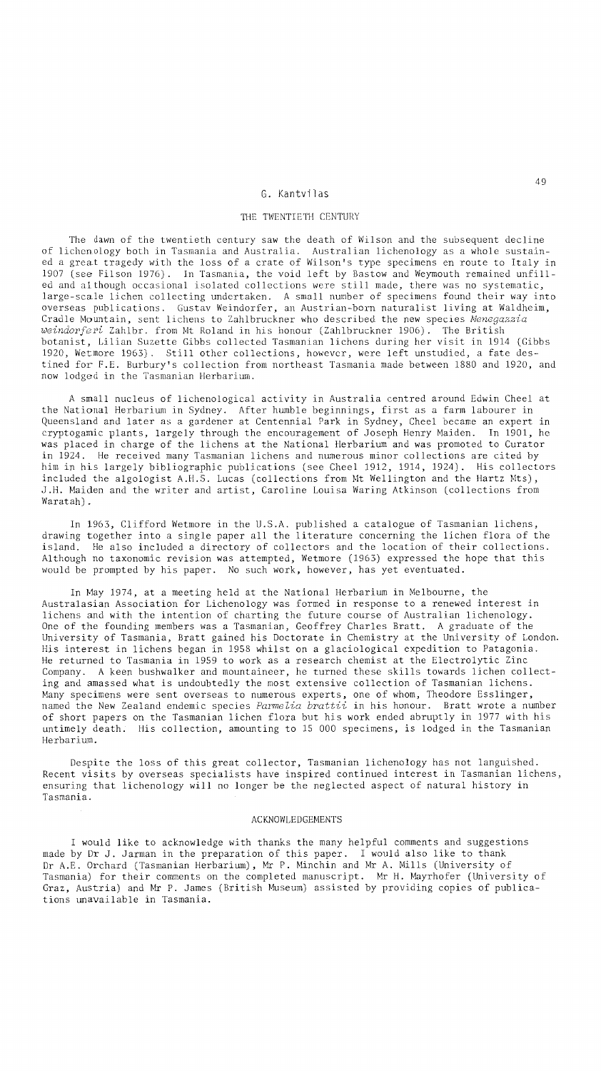#### G. Kantvilas

## THE TWENTIETH CENTURY

The dawn of the twentieth century saw the death of Wilson and the subsequent decline of lichenology both in Tasmania and Australia. Australian lichenology as a whole sustained a great tragedy with the loss of a crate of Wilson's type specimens en route to Italy in 1907 (see Filson 1976). In Tasmania, the void left by Bastow and Weymouth remained unfilled and although occasional isolated collections were still made, there was no systematic, large-scale lichen collecting undertaken. A small number of specimens found their way into overseas publications. Gustav Weindorfer, an Austrian-born naturalist living at Waldheim, Cradle Mountain, sent lichens to Zahlbruckner who described the new species *Menegazzia weindorferi* Zahlbr. from Mt Roland in his honour (Zahlbruckner 1906). The British botanist, Lilian Suzette Gibbs collected Tasmanian lichens during her visit in 1914 (Gibbs 1920, Wetmore 1963). Still other collections, however, were left unstudied, a fate destined for F.E. Burbury's collection from northeast Tasmania made between 1880 and 1920, and now lodged in the Tasmanian Herbarium.

A small nucleus of lichenological activity in Australia centred around Edwin Cheel at the National Herbarium in Sydney. After humble beginnings, first as a farm labourer in Queensland and later as a gardener at Centennial Park in Sydney, Cheel became an expert in cryptogamic plants, largely through the encouragement of Joseph Henry Maiden. In 1901, he was placed in charge of the lichens at the National Herbarium and was promoted to Curator in 1924. He received many Tasmanian lichens and numerous minor collections are cited by him in his largely bibliographic publications (see Cheel 1912, 1914, 1924). His collectors included the algologist  $A.H.S.$  Lucas (collections from Mt Wellington and the Hartz Mts), J.H. Maiden and the writer and artist, Caroline Louisa Waring Atkinson (collections from Waratah).

In 1963, Clifford Wetmore in the U.S.A. published a catalogue of Tasmanian lichens, drawing together into a single paper all the literature concerning the lichen flora of the island. He also included a directory of collectors and the location of their collections. Although no taxonomic revision was attempted, Wetmore (1963) expressed the hope that this would be prompted by his paper. No such work, however, has yet eventuated.

In May 1974, at a meeting held at the National Herbarium in Melbourne, the Australasian Association for Lichenology was formed in response to a renewed interest in lichens and with the intention of charting the future course of Australian lichenology. One of the founding members was a Tasmanian, Geoffrey Charles Bratt. A graduate of the University of Tasmania, Bratt gained his Doctorate in Chemistry at the University of London. His interest in lichens began in 1958 whilst on a glaciological expedition to Patagonia. He returned to Tasmania in 1959 to work as a research chemist at the Electrolytic Zinc Company. A keen bushwalker and mountaineer, he turned these skills towards lichen collecting and amassed what is undoubtedly the most extensive collection of Tasmanian lichens. Many specimens were sent overseas to numerous experts, one of whom, Theodore Esslinger, named the New Zealand endemic species *Parmelia brattii* in his honour. Bratt wrote a number of short papers on the Tasmanian lichen flora but his work ended abruptly in 1977 with his untimely death. His collection, amounting to 15 000 specimens, is lodged in the Tasmanian Herbarium.

Despite the loss of this great collector, Tasmanian lichenology has not languished. Recent visits by overseas specialists have inspired continued interest in Tasmanian lichens, ensuring that lichenology will no longer be the neglected aspect of natural history in Tasmania.

### ACKNOWLEDGEMENTS

I would like to acknowledge with thanks the many helpful comments and suggestions made by Dr J. Jarman in the preparation of this paper. I would also like to thank Dr A.E. Orchard (Tasmanian Herbarium), Mr P. Minchin and Mr A. Mills (University of Tasmania) for their comments on the completed manuscript. Mr H. Mayrhofer (University of Graz, Austria) and Mr P. James (British Museum) assisted by providing copies of publications unavailable in Tasmania.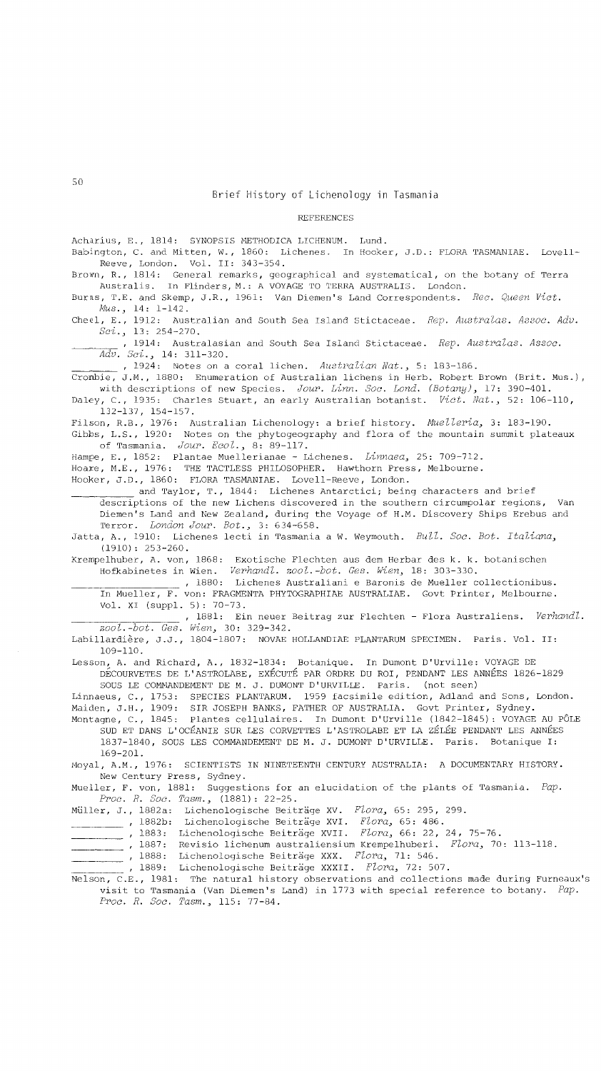#### REFERENCES

Acharius, E., 1814: SYNOPSIS METHODICA LICHENUM. Lund.

Babington, C. and Mitten, W., 1860: Lichenes. In Hooker, J.D.: FLORA TASMANlAE. Love11- Reeve, London. Vol. II: 343-354.

Brown, R., 1814: General remarks, geographical and systematical, on the botany of Terra Australis. In Flinders, M.: A VOYAGE TO TERRA AUSTRALIS. London.

Burns, T.E. and Skemp, J.R., 1961: Van Diemen's Land Correspondents. *Rec. Queen Vict. MUs.,* 14: 1-142.

Chee1, E., 1912: Australian and South Sea Island Stictaceae. *Rep. Australas. Assoc. Adv. Sci.,* 13: 254-270.

,1914: Australasian and South Sea Island Stictaceae. *Rep. Australas. Assoc. Adv. Sci.,* 14: 311-320.

,1924: Notes on a coral lichen. *Australian Nat.,* 5: 183-186.

Cronbie, J.M., 1880: Enumeration of Australian lichens in Herb. Robert Brown (Brit. Mus.), with descriptions of new Species. *Jour. Linn. Soc. Lond. (Botany),* 17: 390-401.

Daley, C., 1935: Charles Stuart, an early Australian botanist. *Vict. Nat.,* 52: 106-110, 132-137, 154-157.

Filson, R.B., 1976: Australian Licheno1ogy: a brief history. *MUelleria,* 3: 183-190. Gibbs, L.S., 1920: Notes on the phytogeography and flora of the mountain summit plateaux of Tasmania. *Jour. Ecol.,* 8: 89-117.

Hampe, E., 1852: Plantae Mue11erianae - Lichenes. *Linnaea,* 25: 709-712.

Hoare, M.E., 1976: THE TACTLESS PHILOSOPHER. Hawthorn Press, Melbourne.

Hooker, J.D., 1860: FLORA TASMANIAE. Lovell-Reeve, London.

and Taylor, T., 1844: Lichenes Antarctici; being characters and brief descriptions of the new Lichens discovered in the southern circumpolar regions, Van Diemen's Land and New Zealand, during the Voyage of H.M. Discovery Ships Erebus and Terror. *London Jour. Bot.,* 3: 634-658.

Jatta, A., 1910: Lichenes 1ecti in Tasmania a W. Weymouth. *Bull. Soc. Bot. Italiana,*  (1910): 253-260.

Krempe1huber, A. von, 1868: Exotische F1echten aus dem Herbar des k. k. botanischen Hofkabinetes in Wien. *Verhandl. 200l.-bot. Ges. Wien,* 18: 303-330.

,1880: Lichenes Austra1iani e Baronis de Mueller co11ectionibus. In Mueller, F. von: FRAGMENTA PHYTOGRAPHlAE AUSTRALIAE. Govt Printer, Melbourne. Vol. XI (supp1. 5): 70-73.

,1881: Ein neuer Beitrag zur F1echten - Flora Austra1iens. *Verhandl. 200l.-bot. Ges. Wi en,* 30: 329-342.

Labillardière, J.J., 1804-1807: NOVAE HOLLANDIAE PLANTARUM SPECIMEN. Paris. Vol. II: 109-110.

Lesson, A. and Richard, A., 1832-1834: Botanique. In Dumont D'Urville: VOYAGE DE DECOURVETES DE L'ASTROLABE, EXECUTE PAR ORDRE DU ROI, PENDANT LES ANNEES 1826-1829 SOUS LE COMMANDEMENT DE M. J. DUMONT D'URVILLE. Paris. (not seen)

Linnaeus, C., 1753: SPECIES PLANTARUM. 1959 facsimile edition, Adland and Sons, London. Maiden, J.H., 1909: SIR JOSEPH BANKS, FATHER OF AUSTRALIA. Govt Printer, Sydney.

Montagne, C., 1845: Plantes cellulaires. In Dumont D'Urville (1842-1845): VOYAGE AU PÔLE SUD ET DANS L'OCEANIE SUR LES CORVETTES L'ASTROLABE ET LA ZELEE PENDANT LES ANNEES 1837-1840, SOUS LES COMMANDEMENT DE M. J. DUMONT D'URVILLE. Paris. Botanique I: 169-20l.

Moyal, A.M., 1976: SCIENTISTS IN NINETEENTH CENTURY AUSTRALIA: A DOCUMENTARY HISTORY. New Century Press, Sydney.

Mueller, F. von, 1881: Suggestions for an elucidation of the plants of Tasmania. *Pap. Proc. R. Soc. Tasm.,* (1881): 22-25.

Muller, J., 1882a: Lichenologische Beitrage XV. *Flora,* 65: 295, 299.

1882b: Lichenologische Beitrage XVI. *Flora,* 65: 486.

,1883: Lichenologische Beitrage XVII. *Flora,* 66: 22, 24, 75-76.

,1887: Revisio lichenum austra1iensium Krempelhuberi. *Flora,* 70: 113-118.

,1888: Lichenologische Beitrage XXX. *Flora,* 71: 546.

1889: Licheno1ogische Beitrage XXXII. *Flora,* 72: 507.

Nelson, C.E., 1981: The natural history observations and collections made during Furneaux's visit to Tasmania (Van Diemen's Land) in 1773 with special reference to botany. *Pap. Proc. R. Soc. Tasm.,* 115: 77-84.